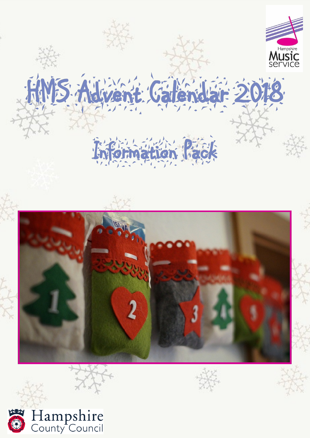